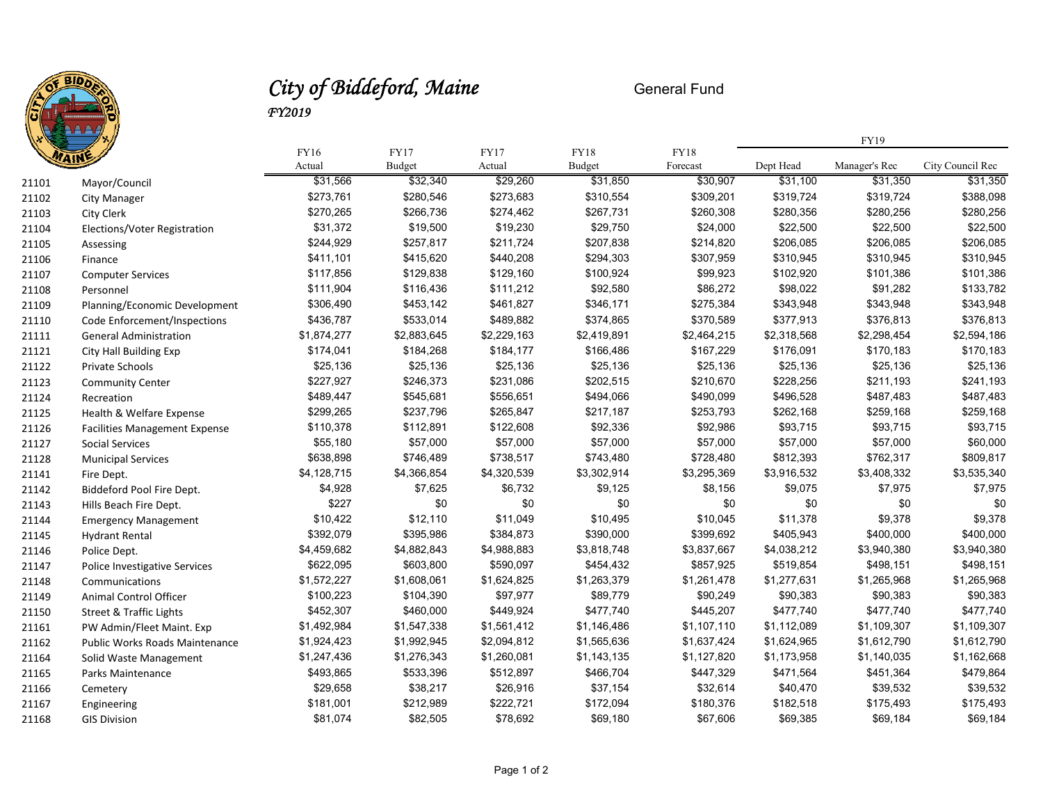

## *City of Biddeford, Maine* General Fund *FY2019*

|       |                                      |                |                       |                |                       |                  | FY19        |               |                  |
|-------|--------------------------------------|----------------|-----------------------|----------------|-----------------------|------------------|-------------|---------------|------------------|
|       |                                      | FY16<br>Actual | <b>FY17</b><br>Budget | FY17<br>Actual | <b>FY18</b><br>Budget | FY18<br>Forecast | Dept Head   | Manager's Rec | City Council Rec |
| 21101 | Mayor/Council                        | \$31,566       | \$32,340              | \$29,260       | \$31,850              | \$30,907         | \$31,100    | \$31,350      | \$31,350         |
| 21102 | <b>City Manager</b>                  | \$273,761      | \$280,546             | \$273,683      | \$310,554             | \$309,201        | \$319,724   | \$319,724     | \$388,098        |
| 21103 | City Clerk                           | \$270,265      | \$266,736             | \$274,462      | \$267,731             | \$260,308        | \$280,356   | \$280,256     | \$280,256        |
| 21104 | Elections/Voter Registration         | \$31,372       | \$19,500              | \$19,230       | \$29,750              | \$24,000         | \$22,500    | \$22,500      | \$22,500         |
| 21105 | Assessing                            | \$244,929      | \$257,817             | \$211,724      | \$207,838             | \$214,820        | \$206,085   | \$206,085     | \$206,085        |
| 21106 | Finance                              | \$411,101      | \$415,620             | \$440,208      | \$294,303             | \$307,959        | \$310,945   | \$310,945     | \$310,945        |
| 21107 | <b>Computer Services</b>             | \$117,856      | \$129,838             | \$129,160      | \$100,924             | \$99,923         | \$102,920   | \$101,386     | \$101,386        |
| 21108 | Personnel                            | \$111,904      | \$116,436             | \$111,212      | \$92,580              | \$86,272         | \$98,022    | \$91,282      | \$133,782        |
| 21109 | Planning/Economic Development        | \$306,490      | \$453,142             | \$461,827      | \$346,171             | \$275,384        | \$343,948   | \$343,948     | \$343,948        |
| 21110 | Code Enforcement/Inspections         | \$436,787      | \$533,014             | \$489,882      | \$374,865             | \$370,589        | \$377,913   | \$376,813     | \$376,813        |
| 21111 | <b>General Administration</b>        | \$1,874,277    | \$2,883,645           | \$2,229,163    | \$2,419,891           | \$2,464,215      | \$2,318,568 | \$2,298,454   | \$2,594,186      |
| 21121 | City Hall Building Exp               | \$174,041      | \$184,268             | \$184,177      | \$166,486             | \$167,229        | \$176,091   | \$170,183     | \$170,183        |
| 21122 | Private Schools                      | \$25,136       | \$25,136              | \$25,136       | \$25,136              | \$25,136         | \$25,136    | \$25,136      | \$25,136         |
| 21123 | <b>Community Center</b>              | \$227,927      | \$246,373             | \$231,086      | \$202,515             | \$210,670        | \$228,256   | \$211,193     | \$241,193        |
| 21124 | Recreation                           | \$489,447      | \$545,681             | \$556,651      | \$494,066             | \$490,099        | \$496,528   | \$487,483     | \$487,483        |
| 21125 | Health & Welfare Expense             | \$299,265      | \$237,796             | \$265,847      | \$217,187             | \$253,793        | \$262,168   | \$259,168     | \$259,168        |
| 21126 | <b>Facilities Management Expense</b> | \$110,378      | \$112,891             | \$122,608      | \$92,336              | \$92,986         | \$93,715    | \$93,715      | \$93,715         |
| 21127 | Social Services                      | \$55,180       | \$57,000              | \$57,000       | \$57,000              | \$57,000         | \$57,000    | \$57,000      | \$60,000         |
| 21128 | <b>Municipal Services</b>            | \$638,898      | \$746,489             | \$738,517      | \$743,480             | \$728,480        | \$812,393   | \$762,317     | \$809,817        |
| 21141 | Fire Dept.                           | \$4,128,715    | \$4,366,854           | \$4,320,539    | \$3,302,914           | \$3,295,369      | \$3,916,532 | \$3,408,332   | \$3,535,340      |
| 21142 | Biddeford Pool Fire Dept.            | \$4,928        | \$7,625               | \$6,732        | \$9,125               | \$8,156          | \$9,075     | \$7,975       | \$7,975          |
| 21143 | Hills Beach Fire Dept.               | \$227          | \$0                   | \$0            | \$0                   | \$0              | \$0         | \$0           | \$0              |
| 21144 | <b>Emergency Management</b>          | \$10,422       | \$12,110              | \$11,049       | \$10,495              | \$10,045         | \$11,378    | \$9,378       | \$9,378          |
| 21145 | <b>Hydrant Rental</b>                | \$392,079      | \$395,986             | \$384,873      | \$390,000             | \$399,692        | \$405,943   | \$400,000     | \$400,000        |
| 21146 | Police Dept.                         | \$4,459,682    | \$4,882,843           | \$4,988,883    | \$3,818,748           | \$3,837,667      | \$4,038,212 | \$3,940,380   | \$3,940,380      |
| 21147 | <b>Police Investigative Services</b> | \$622,095      | \$603,800             | \$590,097      | \$454,432             | \$857,925        | \$519,854   | \$498,151     | \$498,151        |
| 21148 | Communications                       | \$1,572,227    | \$1,608,061           | \$1,624,825    | \$1,263,379           | \$1,261,478      | \$1,277,631 | \$1,265,968   | \$1,265,968      |
| 21149 | Animal Control Officer               | \$100,223      | \$104,390             | \$97,977       | \$89,779              | \$90,249         | \$90,383    | \$90,383      | \$90,383         |
| 21150 | <b>Street &amp; Traffic Lights</b>   | \$452,307      | \$460,000             | \$449,924      | \$477,740             | \$445,207        | \$477,740   | \$477,740     | \$477,740        |
| 21161 | PW Admin/Fleet Maint. Exp            | \$1,492,984    | \$1,547,338           | \$1,561,412    | \$1,146,486           | \$1,107,110      | \$1,112,089 | \$1,109,307   | \$1,109,307      |
| 21162 | Public Works Roads Maintenance       | \$1,924,423    | \$1,992,945           | \$2,094,812    | \$1,565,636           | \$1,637,424      | \$1,624,965 | \$1,612,790   | \$1,612,790      |
| 21164 | Solid Waste Management               | \$1,247,436    | \$1,276,343           | \$1,260,081    | \$1,143,135           | \$1,127,820      | \$1,173,958 | \$1,140,035   | \$1,162,668      |
| 21165 | Parks Maintenance                    | \$493,865      | \$533,396             | \$512,897      | \$466,704             | \$447,329        | \$471,564   | \$451,364     | \$479,864        |
| 21166 | Cemetery                             | \$29,658       | \$38,217              | \$26,916       | \$37,154              | \$32,614         | \$40,470    | \$39,532      | \$39,532         |
| 21167 | Engineering                          | \$181,001      | \$212,989             | \$222,721      | \$172,094             | \$180,376        | \$182,518   | \$175,493     | \$175,493        |
| 21168 | <b>GIS Division</b>                  | \$81.074       | \$82.505              | \$78,692       | \$69.180              | \$67.606         | \$69.385    | \$69.184      | \$69.184         |